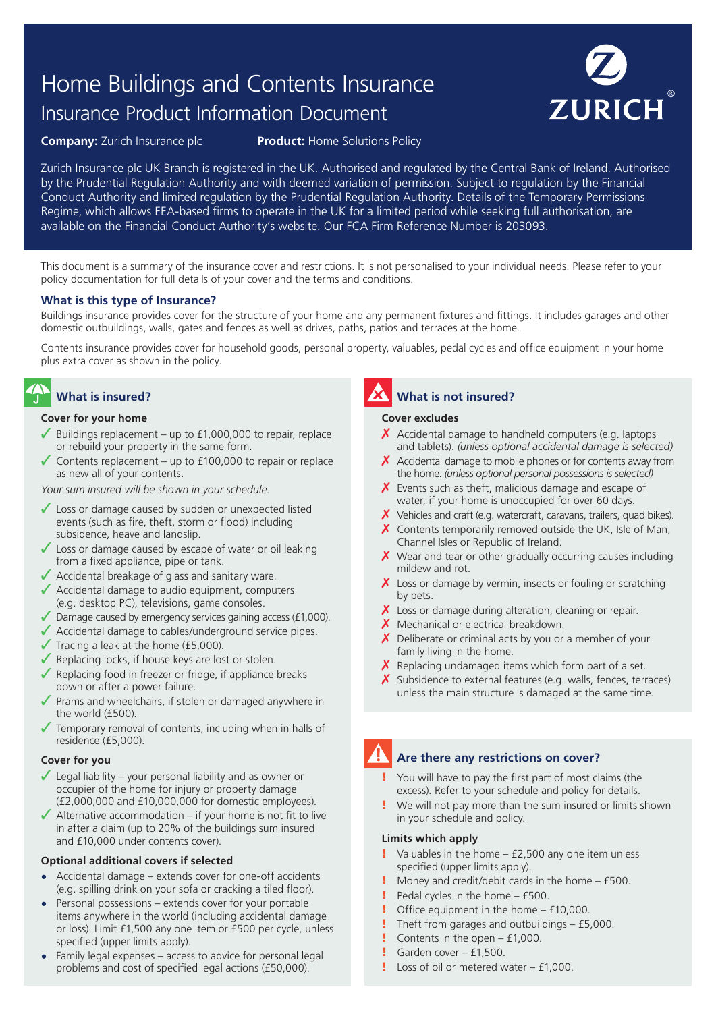# Home Buildings and Contents Insurance Insurance Product Information Document



**Company:** Zurich Insurance plc **Product:** Home Solutions Policy

Zurich Insurance plc UK Branch is registered in the UK. Authorised and regulated by the Central Bank of Ireland. Authorised by the Prudential Regulation Authority and with deemed variation of permission. Subject to regulation by the Financial Conduct Authority and limited regulation by the Prudential Regulation Authority. Details of the Temporary Permissions Regime, which allows EEA-based firms to operate in the UK for a limited period while seeking full authorisation, are available on the Financial Conduct Authority's website. Our FCA Firm Reference Number is 203093.

This document is a summary of the insurance cover and restrictions. It is not personalised to your individual needs. Please refer to your policy documentation for full details of your cover and the terms and conditions.

#### **What is this type of Insurance?**

Buildings insurance provides cover for the structure of your home and any permanent fixtures and fittings. It includes garages and other domestic outbuildings, walls, gates and fences as well as drives, paths, patios and terraces at the home.

Contents insurance provides cover for household goods, personal property, valuables, pedal cycles and office equipment in your home plus extra cover as shown in the policy.

## **What is insured?**

#### **Cover for your home**

- Buildings replacement up to  $£1,000,000$  to repair, replace or rebuild your property in the same form.
- ✓ Contents replacement up to £100,000 to repair or replace as new all of your contents.

*Your sum insured will be shown in your schedule.*

- ✓ Loss or damage caused by sudden or unexpected listed events (such as fire, theft, storm or flood) including subsidence, heave and landslip.
- $\sqrt{\ }$  Loss or damage caused by escape of water or oil leaking from a fixed appliance, pipe or tank.
- $\sqrt{\phantom{a}}$  Accidental breakage of glass and sanitary ware.
- $\sqrt{\phantom{a}}$  Accidental damage to audio equipment, computers (e.g. desktop PC), televisions, game consoles.
- $\sqrt{\phantom{a}}$  Damage caused by emergency services gaining access (£1,000).
- ✓ Accidental damage to cables/underground service pipes.
- $\sqrt{\ }$  Tracing a leak at the home (£5,000).
- ✓ Replacing locks, if house keys are lost or stolen.
- Replacing food in freezer or fridge, if appliance breaks down or after a power failure.
- Prams and wheelchairs, if stolen or damaged anywhere in the world (£500).
- $\sqrt{\ }$  Temporary removal of contents, including when in halls of residence (£5,000).

#### **Cover for you**

- $\sqrt{\phantom{a}}$  Legal liability your personal liability and as owner or occupier of the home for injury or property damage (£2,000,000 and £10,000,000 for domestic employees).
- $\blacktriangleright$  Alternative accommodation if your home is not fit to live in after a claim (up to 20% of the buildings sum insured and £10,000 under contents cover).

#### **Optional additional covers if selected**

- **•** Accidental damage extends cover for one-off accidents (e.g. spilling drink on your sofa or cracking a tiled floor).
- **•** Personal possessions extends cover for your portable items anywhere in the world (including accidental damage or loss). Limit £1,500 any one item or £500 per cycle, unless specified (upper limits apply).
- **•** Family legal expenses access to advice for personal legal problems and cost of specified legal actions (£50,000).

### **What is not insured?**

#### **Cover excludes**

- $\chi$  Accidental damage to handheld computers (e.g. laptops and tablets). *(unless optional accidental damage is selected)*
- $\chi$  Accidental damage to mobile phones or for contents away from the home. *(unless optional personal possessions is selected)*
- $\chi$  Events such as theft, malicious damage and escape of water, if your home is unoccupied for over 60 days.
- $\boldsymbol{X}$  Vehicles and craft (e.g. watercraft, caravans, trailers, quad bikes).
- $\chi$  Contents temporarily removed outside the UK, Isle of Man, Channel Isles or Republic of Ireland.
- $\chi$  Wear and tear or other gradually occurring causes including mildew and rot.
- $\chi$  Loss or damage by vermin, insects or fouling or scratching by pets.
- $\chi$  Loss or damage during alteration, cleaning or repair.
- $X$  Mechanical or electrical breakdown.
- $\chi$  Deliberate or criminal acts by you or a member of your family living in the home.
- $\chi$  Replacing undamaged items which form part of a set.
- $\boldsymbol{X}$  Subsidence to external features (e.g. walls, fences, terraces) unless the main structure is damaged at the same time.

## **Are there any restrictions on cover?**

- You will have to pay the first part of most claims (the excess). Refer to your schedule and policy for details.
- We will not pay more than the sum insured or limits shown in your schedule and policy.

#### **Limits which apply**

- $\blacksquare$  Valuables in the home £2,500 any one item unless specified (upper limits apply).
- Money and credit/debit cards in the home  $-$  £500.
- Pedal cycles in the home £500.
- ! Office equipment in the home £10,000.
- ! Theft from garages and outbuildings £5,000.
- **!** Contents in the open  $f1,000$ .
- **!** Garden cover  $-$  £1,500.
- $l$  Loss of oil or metered water  $f1,000$ .